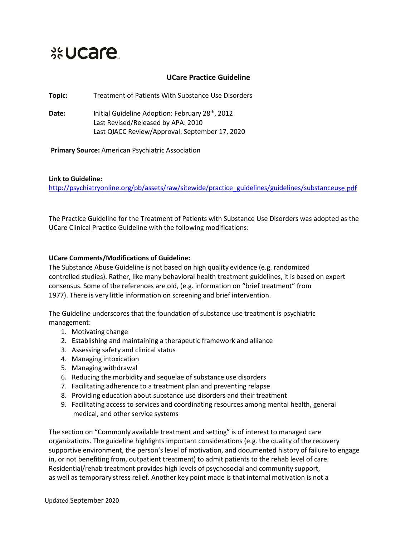## **Exercise**

## **UCare Practice Guideline**

**Topic:** Treatment of Patients With Substance Use Disorders

Date: Initial Guideline Adoption: February 28<sup>th</sup>, 2012 Last Revised/Released by APA: 2010 Last QIACC Review/Approval: September 17, 2020

**Primary Source:** American Psychiatric Association

## **Link to Guideline:**

[http://psychiatryonline.org/pb/assets/raw/sitewide/practice\\_guidelines/guidelines/substanceuse.pdf](http://psychiatryonline.org/pb/assets/raw/sitewide/practice_guidelines/guidelines/substanceuse.pdf)

The Practice Guideline for the Treatment of Patients with Substance Use Disorders was adopted as the UCare Clinical Practice Guideline with the following modifications:

## **UCare Comments/Modifications of Guideline:**

The Substance Abuse Guideline is not based on high quality evidence (e.g. randomized controlled studies). Rather, like many behavioral health treatment guidelines, it is based on expert consensus. Some of the references are old, (e.g. information on "brief treatment" from 1977). There is very little information on screening and brief intervention.

The Guideline underscores that the foundation of substance use treatment is psychiatric management:

- 1. Motivating change
- 2. Establishing and maintaining a therapeutic framework and alliance
- 3. Assessing safety and clinical status
- 4. Managing intoxication
- 5. Managing withdrawal
- 6. Reducing the morbidity and sequelae of substance use disorders
- 7. Facilitating adherence to a treatment plan and preventing relapse
- 8. Providing education about substance use disorders and their treatment
- 9. Facilitating access to services and coordinating resources among mental health, general medical, and other service systems

The section on "Commonly available treatment and setting" is of interest to managed care organizations. The guideline highlights important considerations (e.g. the quality of the recovery supportive environment, the person's level of motivation, and documented history of failure to engage in, or not benefiting from, outpatient treatment) to admit patients to the rehab level of care. Residential/rehab treatment provides high levels of psychosocial and community support, as well as temporary stress relief. Another key point made is that internal motivation is not a